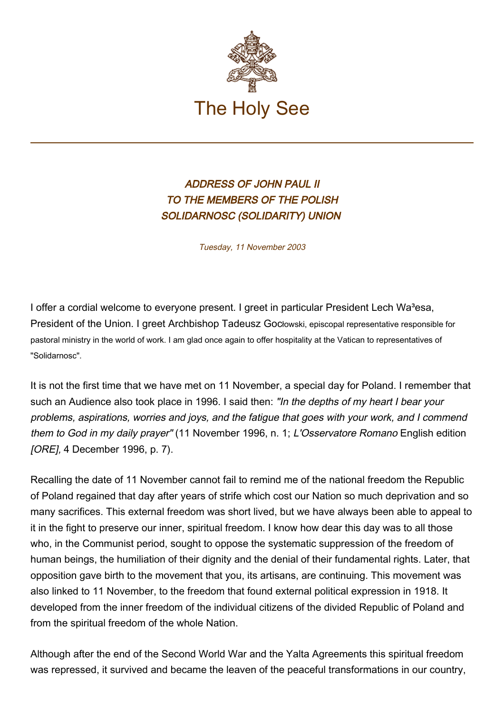

## ADDRESS OF JOHN PAUL II TO THE MEMBERS OF THE POLISH SOLIDARNOSC (SOLIDARITY) UNION

Tuesday, 11 November 2003

I offer a cordial welcome to everyone present. I greet in particular President Lech Wa<sup>3</sup>esa, President of the Union. I greet Archbishop Tadeusz Gocłowski, episcopal representative responsible for pastoral ministry in the world of work. I am glad once again to offer hospitality at the Vatican to representatives of "Solidarnosc".

It is not the first time that we have met on 11 November, a special day for Poland. I remember that such an Audience also took place in 1996. I said then: "In the depths of my heart I bear your problems, aspirations, worries and joys, and the fatigue that goes with your work, and I commend them to God in my daily prayer" (11 November 1996, n. 1; L'Osservatore Romano English edition [ORE], 4 December 1996, p. 7).

Recalling the date of 11 November cannot fail to remind me of the national freedom the Republic of Poland regained that day after years of strife which cost our Nation so much deprivation and so many sacrifices. This external freedom was short lived, but we have always been able to appeal to it in the fight to preserve our inner, spiritual freedom. I know how dear this day was to all those who, in the Communist period, sought to oppose the systematic suppression of the freedom of human beings, the humiliation of their dignity and the denial of their fundamental rights. Later, that opposition gave birth to the movement that you, its artisans, are continuing. This movement was also linked to 11 November, to the freedom that found external political expression in 1918. It developed from the inner freedom of the individual citizens of the divided Republic of Poland and from the spiritual freedom of the whole Nation.

Although after the end of the Second World War and the Yalta Agreements this spiritual freedom was repressed, it survived and became the leaven of the peaceful transformations in our country,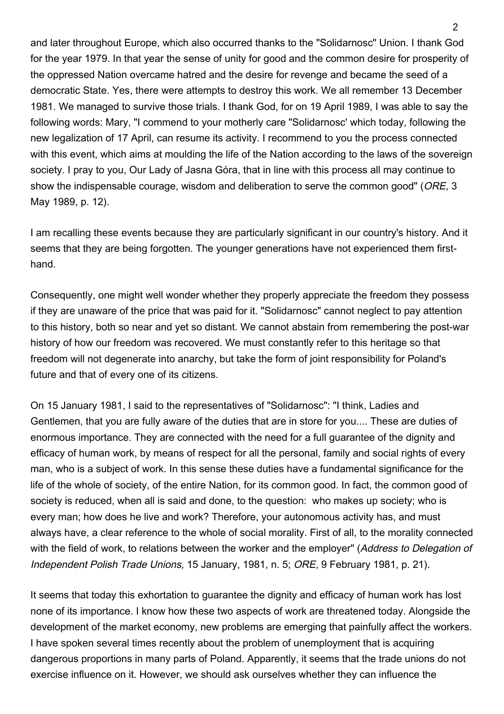and later throughout Europe, which also occurred thanks to the "Solidarnosc" Union. I thank God for the year 1979. In that year the sense of unity for good and the common desire for prosperity of the oppressed Nation overcame hatred and the desire for revenge and became the seed of a democratic State. Yes, there were attempts to destroy this work. We all remember 13 December 1981. We managed to survive those trials. I thank God, for on 19 April 1989, I was able to say the following words: Mary, "I commend to your motherly care "Solidarnosc' which today, following the new legalization of 17 April, can resume its activity. I recommend to you the process connected with this event, which aims at moulding the life of the Nation according to the laws of the sovereign society. I pray to you, Our Lady of Jasna Góra, that in line with this process all may continue to show the indispensable courage, wisdom and deliberation to serve the common good" (ORE, 3 May 1989, p. 12).

I am recalling these events because they are particularly significant in our country's history. And it seems that they are being forgotten. The younger generations have not experienced them firsthand.

Consequently, one might well wonder whether they properly appreciate the freedom they possess if they are unaware of the price that was paid for it. "Solidarnosc" cannot neglect to pay attention to this history, both so near and yet so distant. We cannot abstain from remembering the post-war history of how our freedom was recovered. We must constantly refer to this heritage so that freedom will not degenerate into anarchy, but take the form of joint responsibility for Poland's future and that of every one of its citizens.

On 15 January 1981, I said to the representatives of "Solidarnosc": "I think, Ladies and Gentlemen, that you are fully aware of the duties that are in store for you.... These are duties of enormous importance. They are connected with the need for a full guarantee of the dignity and efficacy of human work, by means of respect for all the personal, family and social rights of every man, who is a subject of work. In this sense these duties have a fundamental significance for the life of the whole of society, of the entire Nation, for its common good. In fact, the common good of society is reduced, when all is said and done, to the question: who makes up society; who is every man; how does he live and work? Therefore, your autonomous activity has, and must always have, a clear reference to the whole of social morality. First of all, to the morality connected with the field of work, to relations between the worker and the employer" (Address to Delegation of Independent Polish Trade Unions, 15 January, 1981, n. 5; ORE, 9 February 1981, p. 21).

It seems that today this exhortation to guarantee the dignity and efficacy of human work has lost none of its importance. I know how these two aspects of work are threatened today. Alongside the development of the market economy, new problems are emerging that painfully affect the workers. I have spoken several times recently about the problem of unemployment that is acquiring dangerous proportions in many parts of Poland. Apparently, it seems that the trade unions do not exercise influence on it. However, we should ask ourselves whether they can influence the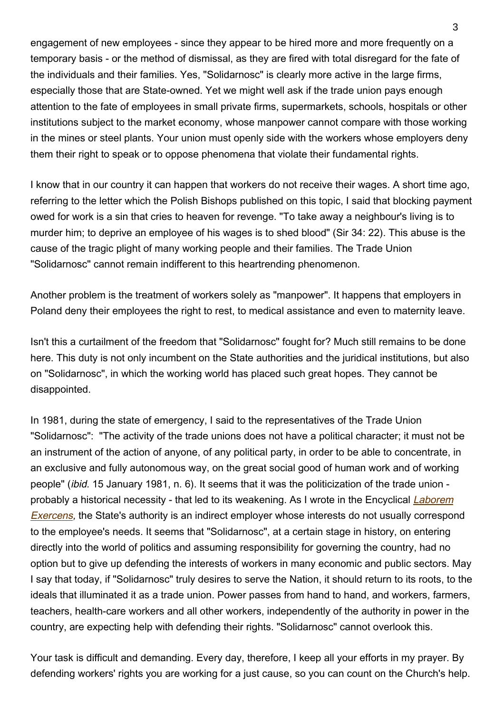engagement of new employees - since they appear to be hired more and more frequently on a temporary basis - or the method of dismissal, as they are fired with total disregard for the fate of the individuals and their families. Yes, "Solidarnosc" is clearly more active in the large firms, especially those that are State-owned. Yet we might well ask if the trade union pays enough attention to the fate of employees in small private firms, supermarkets, schools, hospitals or other institutions subject to the market economy, whose manpower cannot compare with those working in the mines or steel plants. Your union must openly side with the workers whose employers deny them their right to speak or to oppose phenomena that violate their fundamental rights.

I know that in our country it can happen that workers do not receive their wages. A short time ago, referring to the letter which the Polish Bishops published on this topic, I said that blocking payment owed for work is a sin that cries to heaven for revenge. "To take away a neighbour's living is to murder him; to deprive an employee of his wages is to shed blood" (Sir 34: 22). This abuse is the cause of the tragic plight of many working people and their families. The Trade Union "Solidarnosc" cannot remain indifferent to this heartrending phenomenon.

Another problem is the treatment of workers solely as "manpower". It happens that employers in Poland deny their employees the right to rest, to medical assistance and even to maternity leave.

Isn't this a curtailment of the freedom that "Solidarnosc" fought for? Much still remains to be done here. This duty is not only incumbent on the State authorities and the juridical institutions, but also on "Solidarnosc", in which the working world has placed such great hopes. They cannot be disappointed.

In 1981, during the state of emergency, I said to the representatives of the Trade Union "Solidarnosc": "The activity of the trade unions does not have a political character; it must not be an instrument of the action of anyone, of any political party, in order to be able to concentrate, in an exclusive and fully autonomous way, on the great social good of human work and of working people" (ibid. 15 January 1981, n. 6). It seems that it was the politicization of the trade union - probably a historical necessity - that led to its weakening. As I wrote in the Encyclical [Laborem](http://www.vatican.va/edocs/ENG0217/_INDEX.HTM) [Exercens](http://www.vatican.va/edocs/ENG0217/_INDEX.HTM), the State's authority is an indirect employer whose interests do not usually correspond to the employee's needs. It seems that "Solidarnosc", at a certain stage in history, on entering directly into the world of politics and assuming responsibility for governing the country, had no option but to give up defending the interests of workers in many economic and public sectors. May I say that today, if "Solidarnosc" truly desires to serve the Nation, it should return to its roots, to the ideals that illuminated it as a trade union. Power passes from hand to hand, and workers, farmers, teachers, health-care workers and all other workers, independently of the authority in power in the country, are expecting help with defending their rights. "Solidarnosc" cannot overlook this.

Your task is difficult and demanding. Every day, therefore, I keep all your efforts in my prayer. By defending workers' rights you are working for a just cause, so you can count on the Church's help.